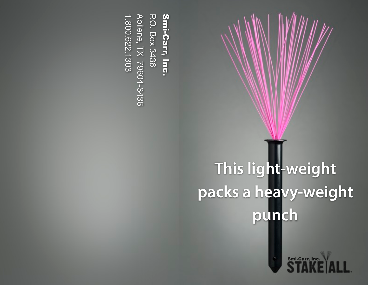**Smi-Carr, Inc.<br>P.O. Box 3436<br>Abilene, TX 79604-3436** Abilene, TX 79604-3436 1.800.622.1303 P.O. Box 3436 Smi-Carr, Inc. 800.622.1303

## **This light-weight**  packs a heavy-weight **punch**